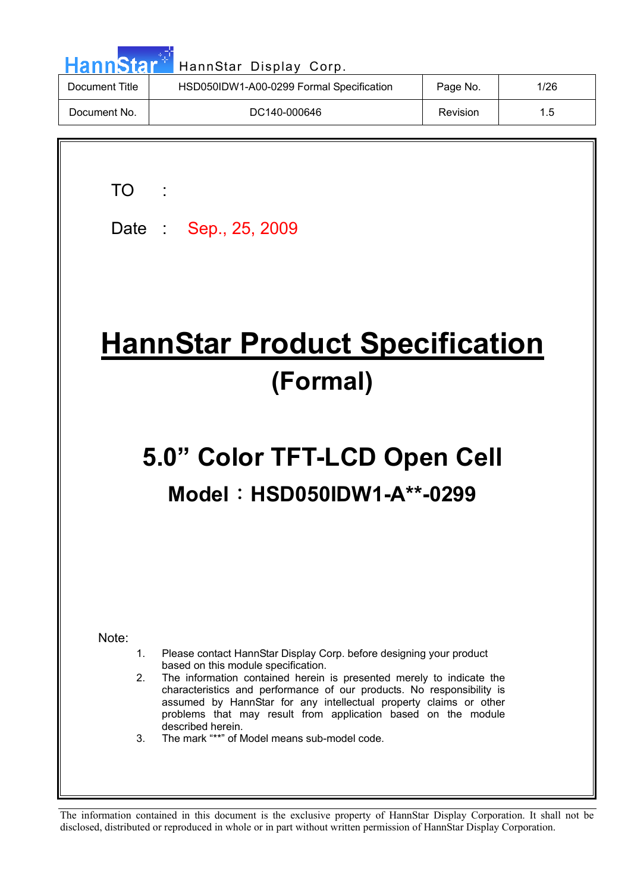| <b>HannStar</b> <sup>+1</sup> | HannStar Display Corp.                   |          |      |
|-------------------------------|------------------------------------------|----------|------|
| Document Title                | HSD050IDW1-A00-0299 Formal Specification | Page No. | 1/26 |
| Document No.                  | DC140-000646                             | Revision | 1.5  |
|                               |                                          |          |      |

TO :

Date : Sep., 25, 2009

# **HannStar Product Specification (Formal)**

# **5.0" Color TFT-LCD Open Cell Model: HSD050IDW1-A\*\*-0299**

Note:

- 1. Please contact HannStar Display Corp. before designing your product based on this module specification.
- 2. The information contained herein is presented merely to indicate the characteristics and performance of our products. No responsibility is assumed by HannStar for any intellectual property claims or other problems that may result from application based on the module described herein.
- 3. The mark "\*\*" of Model means sub-model code.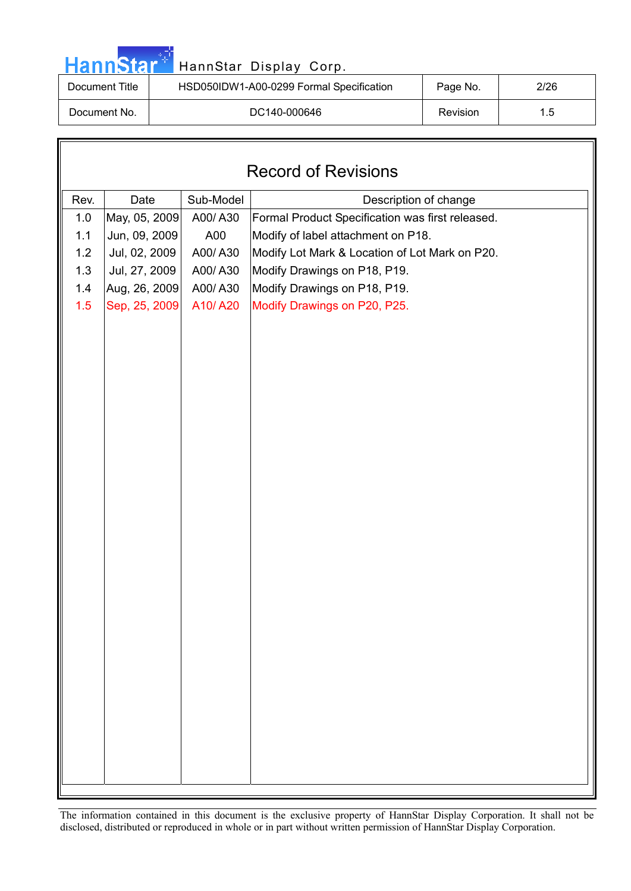|  | <b>HannStar</b> * |  |
|--|-------------------|--|
|  |                   |  |
|  |                   |  |

### HannStar Display Corp.

| Document Title | HSD050IDW1-A00-0299 Formal Specification | Page No. | 2/26          |
|----------------|------------------------------------------|----------|---------------|
| Document No.   | DC140-000646                             | Revision | $1.5^{\circ}$ |

| <b>Record of Revisions</b>                         |               |         |                                                  |  |  |  |  |
|----------------------------------------------------|---------------|---------|--------------------------------------------------|--|--|--|--|
| Rev.<br>Sub-Model<br>Date<br>Description of change |               |         |                                                  |  |  |  |  |
| 1.0                                                | May, 05, 2009 | A00/A30 | Formal Product Specification was first released. |  |  |  |  |
| 1.1                                                | Jun, 09, 2009 | A00     | Modify of label attachment on P18.               |  |  |  |  |
| 1.2                                                | Jul, 02, 2009 | A00/A30 | Modify Lot Mark & Location of Lot Mark on P20.   |  |  |  |  |
| 1.3                                                | Jul, 27, 2009 | A00/A30 | Modify Drawings on P18, P19.                     |  |  |  |  |
| 1.4                                                | Aug, 26, 2009 | A00/A30 | Modify Drawings on P18, P19.                     |  |  |  |  |
| 1.5                                                | Sep, 25, 2009 | A10/A20 | Modify Drawings on P20, P25.                     |  |  |  |  |
|                                                    |               |         |                                                  |  |  |  |  |
|                                                    |               |         |                                                  |  |  |  |  |
|                                                    |               |         |                                                  |  |  |  |  |
|                                                    |               |         |                                                  |  |  |  |  |
|                                                    |               |         |                                                  |  |  |  |  |
|                                                    |               |         |                                                  |  |  |  |  |
|                                                    |               |         |                                                  |  |  |  |  |
|                                                    |               |         |                                                  |  |  |  |  |
|                                                    |               |         |                                                  |  |  |  |  |
|                                                    |               |         |                                                  |  |  |  |  |
|                                                    |               |         |                                                  |  |  |  |  |
|                                                    |               |         |                                                  |  |  |  |  |
|                                                    |               |         |                                                  |  |  |  |  |
|                                                    |               |         |                                                  |  |  |  |  |
|                                                    |               |         |                                                  |  |  |  |  |
|                                                    |               |         |                                                  |  |  |  |  |
|                                                    |               |         |                                                  |  |  |  |  |
|                                                    |               |         |                                                  |  |  |  |  |
|                                                    |               |         |                                                  |  |  |  |  |
|                                                    |               |         |                                                  |  |  |  |  |
|                                                    |               |         |                                                  |  |  |  |  |
|                                                    |               |         |                                                  |  |  |  |  |
|                                                    |               |         |                                                  |  |  |  |  |
|                                                    |               |         |                                                  |  |  |  |  |
|                                                    |               |         |                                                  |  |  |  |  |
|                                                    |               |         |                                                  |  |  |  |  |
|                                                    |               |         |                                                  |  |  |  |  |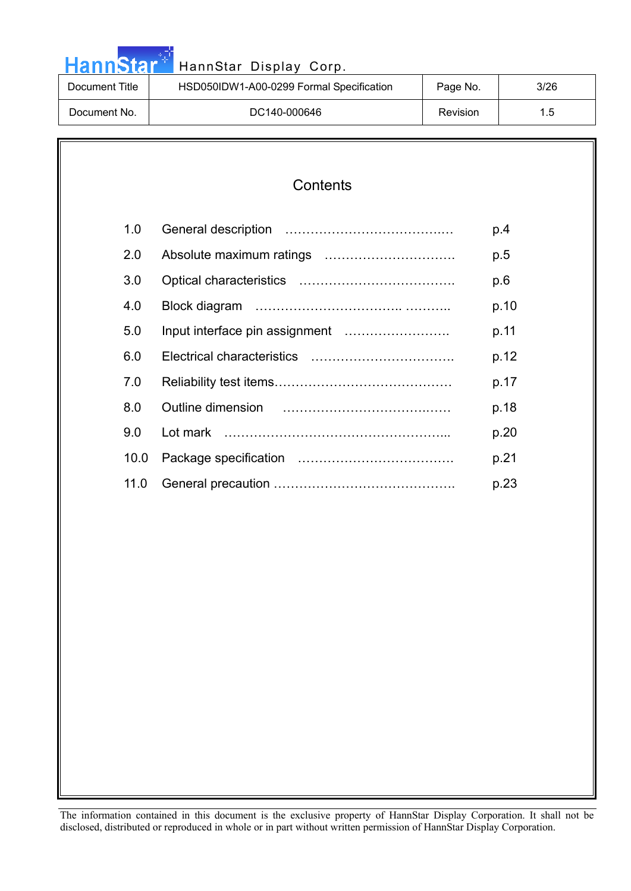| HannStar <sup>*</sup> | HannStar Display Corp.                   |          |      |
|-----------------------|------------------------------------------|----------|------|
| Document Title        | HSD050IDW1-A00-0299 Formal Specification | Page No. | 3/26 |
| Document No.          | DC140-000646                             | Revision | 1.5  |

مراجع والمنا

#### **Contents**

| 1.0  | p.4  |
|------|------|
| 2.0  | p.5  |
| 3.0  | p.6  |
| 4.0  | p.10 |
| 5.0  | p.11 |
| 6.0  | p.12 |
| 7.0  | p.17 |
| 8.0  | p.18 |
| 9.0  | p.20 |
| 10.0 | p.21 |
| 11.0 | p.23 |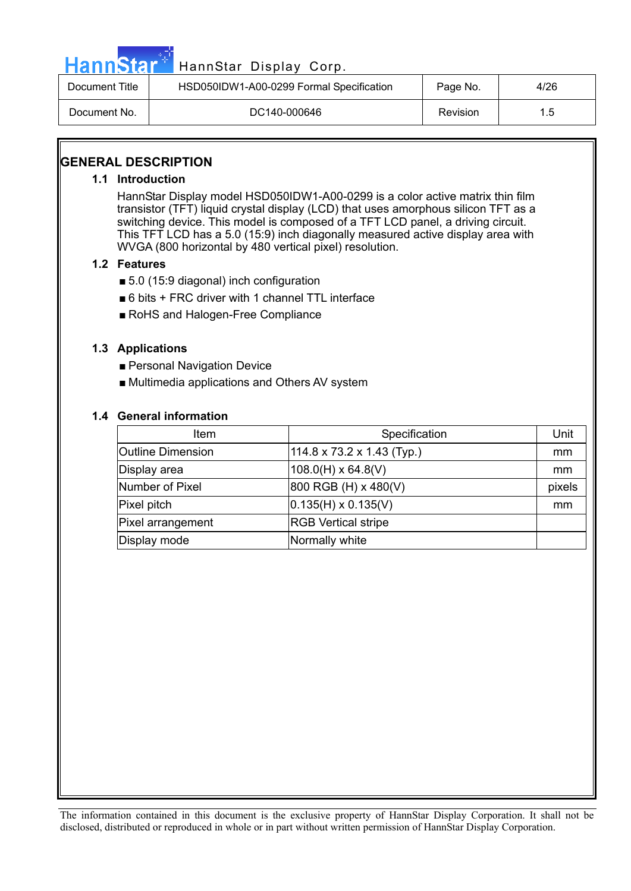

# HannStar<sup>#T</sup> HannStar Display Corp.

| Document Title | HSD050IDW1-A00-0299 Formal Specification | Page No. | 4/26 |
|----------------|------------------------------------------|----------|------|
| Document No.   | DC140-000646                             | Revision | 1.5  |

#### **GENERAL DESCRIPTION**

#### **1.1 Introduction**

HannStar Display model HSD050IDW1-A00-0299 is a color active matrix thin film transistor (TFT) liquid crystal display (LCD) that uses amorphous silicon TFT as a switching device. This model is composed of a TFT LCD panel, a driving circuit. This TFT LCD has a 5.0 (15:9) inch diagonally measured active display area with WVGA (800 horizontal by 480 vertical pixel) resolution.

#### **1.2 Features**

- $\blacksquare$  5.0 (15:9 diagonal) inch configuration
- $\blacksquare$  6 bits + FRC driver with 1 channel TTL interface
- RoHS and Halogen-Free Compliance

#### **1.3 Applications**

- **Personal Navigation Device**
- Multimedia applications and Others AV system

#### **1.4 General information**

| Item                     | Specification                          | Unit   |
|--------------------------|----------------------------------------|--------|
| <b>Outline Dimension</b> | $114.8 \times 73.2 \times 1.43$ (Typ.) | mm     |
| Display area             | $108.0(H) \times 64.8(V)$              | mm     |
| Number of Pixel          | 800 RGB (H) x 480(V)                   | pixels |
| Pixel pitch              | $ 0.135(H) \times 0.135(V) $           | mm     |
| Pixel arrangement        | <b>RGB Vertical stripe</b>             |        |
| Display mode             | Normally white                         |        |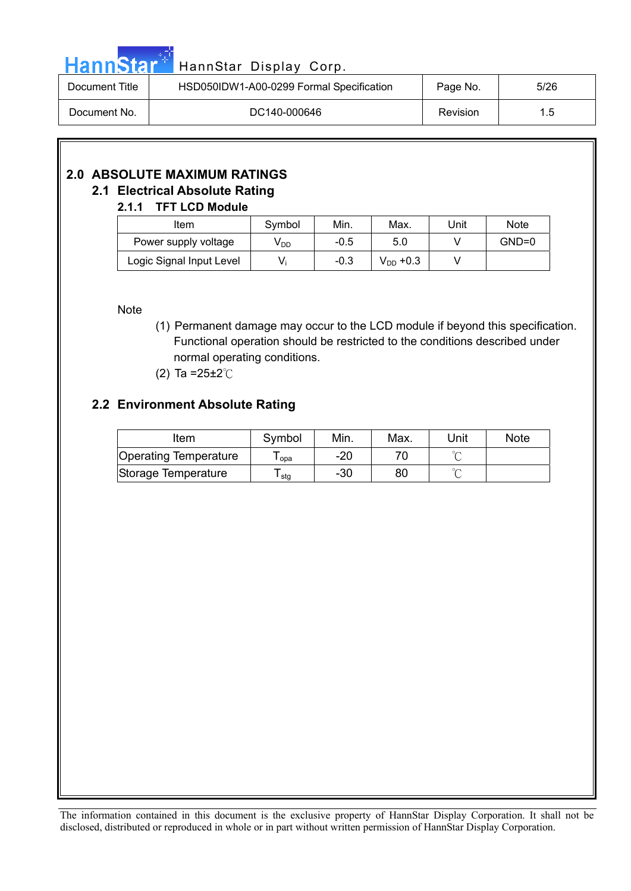|  |  | <b>HannStar</b> |  |
|--|--|-----------------|--|

## HannStar Display Corp.

| Document Title | HSD050IDW1-A00-0299 Formal Specification | Page No.        | 5/26 |
|----------------|------------------------------------------|-----------------|------|
| Document No.   | DC140-000646                             | <b>Revision</b> | 1.5  |

#### **2.0 ABSOLUTE MAXIMUM RATINGS 2.1 Electrical Absolute Rating**

#### **2.1.1 TFT LCD Module**

| Item                     | Symbol          | Min.   | Max.          | Unit | <b>Note</b> |
|--------------------------|-----------------|--------|---------------|------|-------------|
| Power supply voltage     | V <sub>DD</sub> | $-0.5$ | 5.0           |      | $GND=0$     |
| Logic Signal Input Level | V               | $-0.3$ | $V_{DD}$ +0.3 |      |             |

Note

- (1) Permanent damage may occur to the LCD module if beyond this specification. Functional operation should be restricted to the conditions described under normal operating conditions.
- (2) Ta =  $25 \pm 2^{\circ}$ C

#### **2.2 Environment Absolute Rating**

| Item                  | Symbol | Min.  | Max. | Unit | <b>Note</b> |
|-----------------------|--------|-------|------|------|-------------|
| Operating Temperature | l opa  | $-20$ |      |      |             |
| Storage Temperature   | ∙ stg  | -30   | 80   |      |             |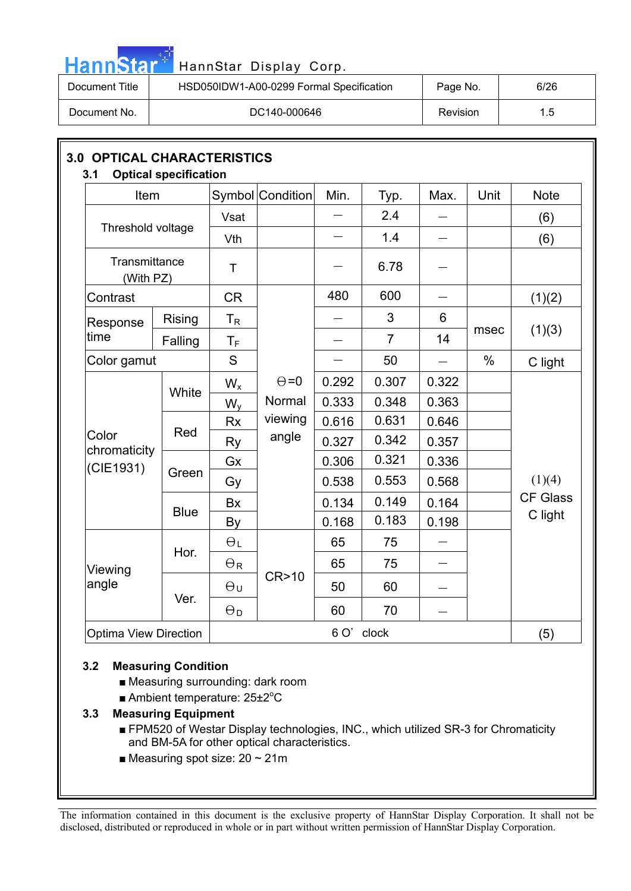| - | ınn |  |
|---|-----|--|
|---|-----|--|

### HannStar Display Corp.

| Document Title | HSD050IDW1-A00-0299 Formal Specification | Page No. | 6/26 |
|----------------|------------------------------------------|----------|------|
| Document No.   | DC140-000646                             | Revision | 1.5  |

| Item<br>Threshold voltage    |             |                           | Symbol Condition | Min.       | Typ.           | Max.            | Unit | <b>Note</b>     |
|------------------------------|-------------|---------------------------|------------------|------------|----------------|-----------------|------|-----------------|
|                              |             | Vsat                      |                  |            | 2.4            |                 |      | (6)             |
|                              |             | Vth                       |                  |            | 1.4            |                 |      | (6)             |
| Transmittance<br>(With PZ)   |             | $\top$                    |                  |            | 6.78           |                 |      |                 |
| Contrast                     |             | <b>CR</b>                 |                  | 480        | 600            |                 |      | (1)(2)          |
| Response                     | Rising      | $\mathsf{T}_{\mathsf{R}}$ |                  |            | 3              | 6               |      |                 |
| time<br>Falling              |             | $T_F$                     |                  |            | $\overline{7}$ | 14              | msec | (1)(3)          |
| Color gamut                  |             | S                         |                  |            | 50             |                 | $\%$ | C light         |
| Color<br>chromaticity        | White       | $W_{x}$                   | $\Theta = 0$     | 0.292      | 0.307          | 0.322           |      |                 |
|                              |             | $W_{v}$                   | Normal           | 0.333      | 0.348          | 0.363           |      |                 |
|                              | Red         | <b>Rx</b>                 | viewing          | 0.616      | 0.631          | 0.646           |      |                 |
|                              |             | Ry                        | angle            | 0.327      | 0.342          | 0.357           |      |                 |
| (CIE1931)                    |             | Gx                        |                  | 0.306      | 0.321          | 0.336           |      |                 |
|                              | Green       | Gy                        |                  | 0.538      | 0.553          | 0.568           |      | (1)(4)          |
|                              | <b>Blue</b> | Bx                        |                  | 0.134      | 0.149          | 0.164           |      | <b>CF Glass</b> |
|                              |             | By                        |                  | 0.168      | 0.183          | 0.198           |      | C light         |
| Viewing<br>angle             | Hor.        | $\Theta_L$                |                  | 65         | 75             |                 |      |                 |
|                              |             | $\Theta$ R                |                  | 65         | 75             | $\qquad \qquad$ |      |                 |
|                              | Ver.        | $\Theta$ u                | <b>CR&gt;10</b>  | 50         | 60             |                 |      |                 |
|                              |             | $\Theta_D$                |                  | 60         | 70             |                 |      |                 |
| <b>Optima View Direction</b> |             |                           |                  | 6 O' clock |                |                 |      | (5)             |

#### **3.2 Measuring Condition**

- Measuring surrounding: dark room
- Ambient temperature: 25±2°C

#### **3.3 Measuring Equipment**

- FPM520 of Westar Display technologies, INC., which utilized SR-3 for Chromaticity and BM-5A for other optical characteristics.
- $\blacksquare$  Measuring spot size: 20 ~ 21m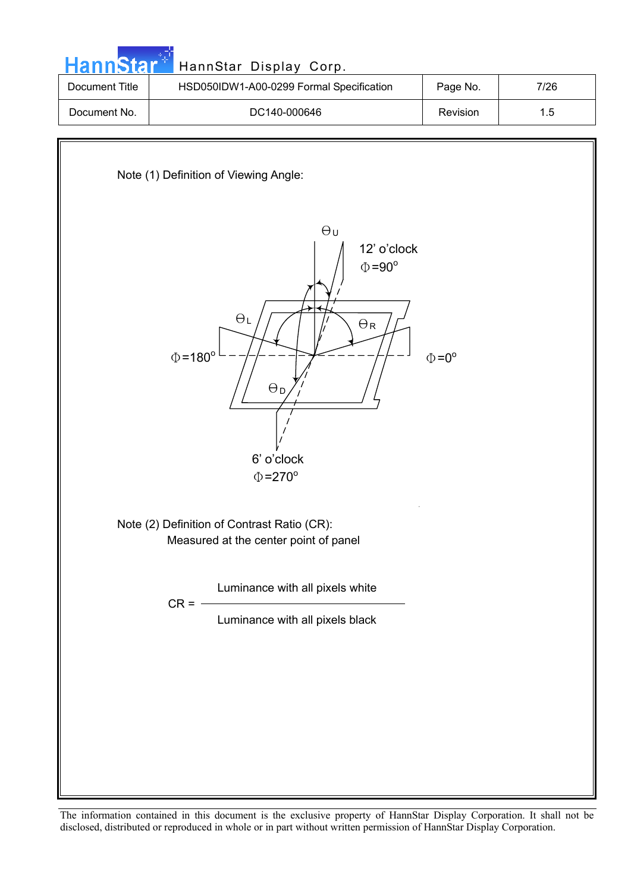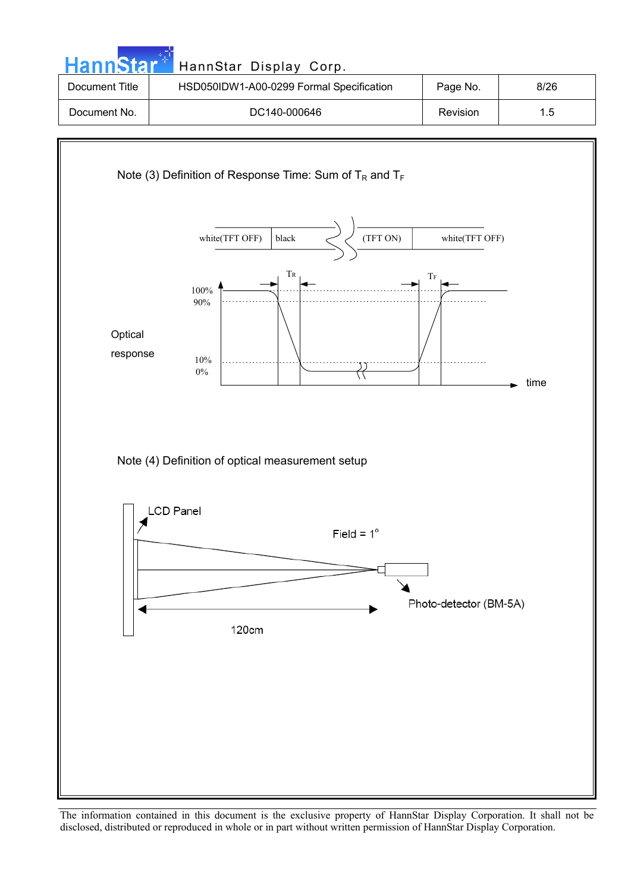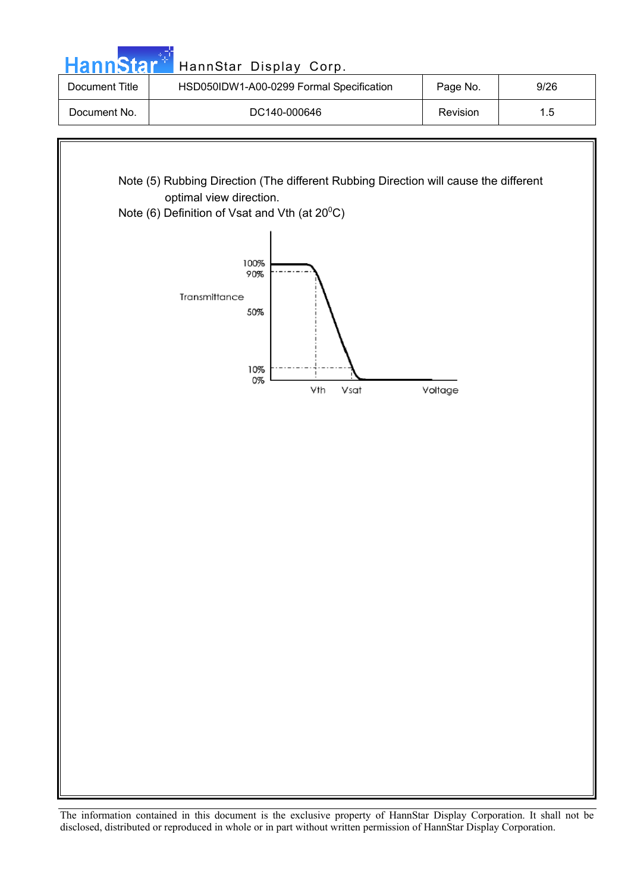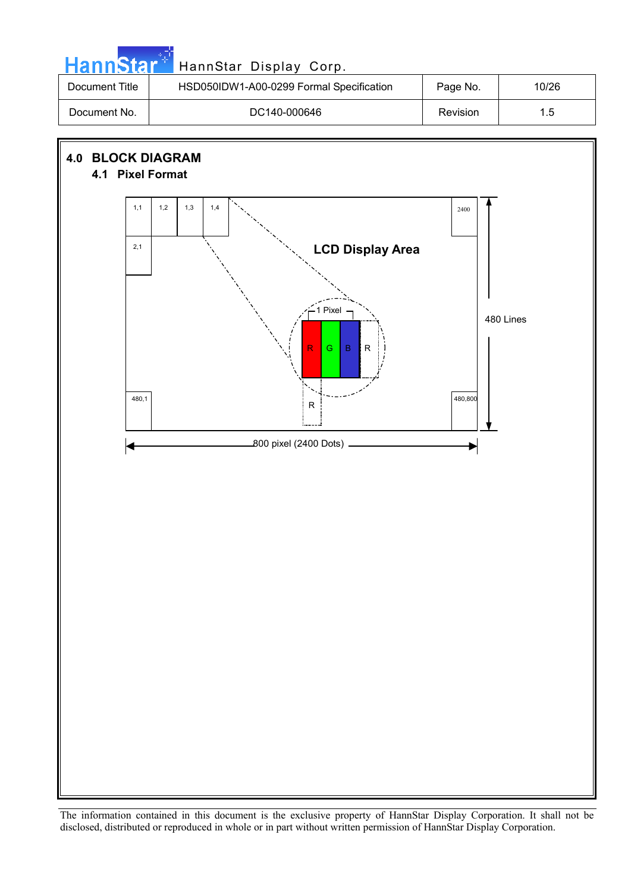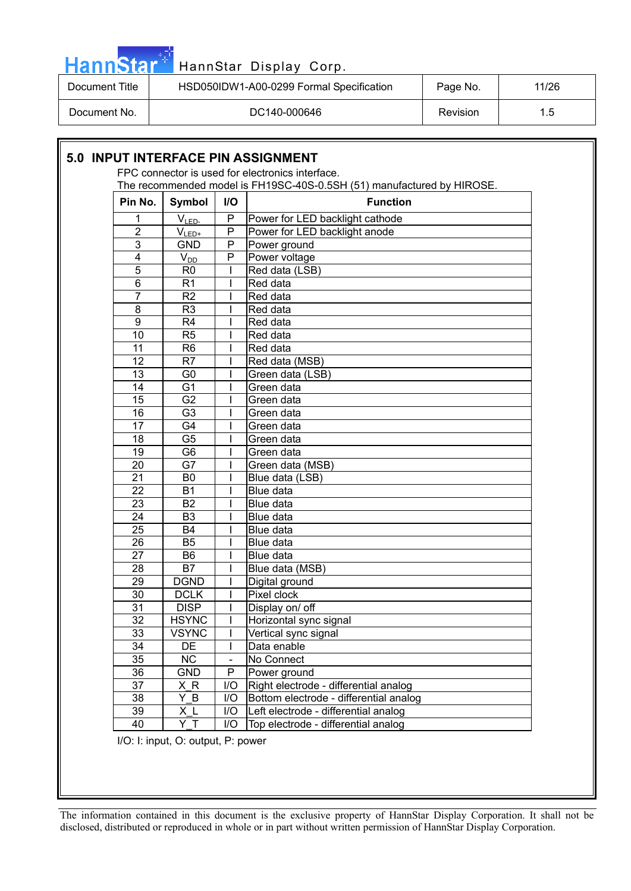| HannStar*      | HannStar Display Corp.                   |                 |       |
|----------------|------------------------------------------|-----------------|-------|
| Document Title | HSD050IDW1-A00-0299 Formal Specification | Page No.        | 11/26 |
| Document No.   | DC140-000646                             | <b>Revision</b> | 1.5   |

|                 |                |     | The recommended model is FH19SC-40S-0.5SH (51) manufactured by HIROSE. |
|-----------------|----------------|-----|------------------------------------------------------------------------|
| Pin No.         | Symbol         | I/O | <b>Function</b>                                                        |
| 1               | $V_{LED-}$     | P   | Power for LED backlight cathode                                        |
| 2               | $V_{LED+}$     | P   | Power for LED backlight anode                                          |
| 3               | <b>GND</b>     | P   | Power ground                                                           |
| 4               | $V_{DD}$       | P   | Power voltage                                                          |
| 5               | R <sub>0</sub> |     | Red data (LSB)                                                         |
| 6               | R <sub>1</sub> |     | Red data                                                               |
| $\overline{7}$  | R <sub>2</sub> |     | Red data                                                               |
| 8               | R <sub>3</sub> |     | Red data                                                               |
| 9               | R <sub>4</sub> |     | Red data                                                               |
| 10              | R <sub>5</sub> |     | Red data                                                               |
| 11              | R <sub>6</sub> |     | Red data                                                               |
| 12              | R7             |     | Red data (MSB)                                                         |
| 13              | G <sub>0</sub> |     | Green data (LSB)                                                       |
| 14              | G <sub>1</sub> |     | Green data                                                             |
| 15              | G <sub>2</sub> |     | Green data                                                             |
| 16              | G <sub>3</sub> |     | Green data                                                             |
| 17              | G4             |     | Green data                                                             |
| 18              | G <sub>5</sub> |     | Green data                                                             |
| 19              | G <sub>6</sub> |     | Green data                                                             |
| 20              | G7             |     | Green data (MSB)                                                       |
| 21              | B <sub>0</sub> |     | Blue data (LSB)                                                        |
| 22              | <b>B1</b>      |     | Blue data                                                              |
| 23              | <b>B2</b>      |     | Blue data                                                              |
| 24              | B <sub>3</sub> |     | Blue data                                                              |
| 25              | <b>B4</b>      |     | Blue data                                                              |
| 26              | B <sub>5</sub> |     | Blue data                                                              |
| 27              | B <sub>6</sub> |     | Blue data                                                              |
| 28              | <b>B7</b>      |     | Blue data (MSB)                                                        |
| 29              | <b>DGND</b>    |     | Digital ground                                                         |
| 30              | <b>DCLK</b>    |     | Pixel clock                                                            |
| 31              | <b>DISP</b>    |     | Display on/ off                                                        |
| $\overline{32}$ | <b>HSYNC</b>   |     | Horizontal sync signal                                                 |
| 33              | <b>VSYNC</b>   |     | Vertical sync signal                                                   |
| 34              | DE             |     | Data enable                                                            |
| 35              | <b>NC</b>      |     | No Connect                                                             |
| 36              | <b>GND</b>     | P   | Power ground                                                           |
| 37              | XR             | I/O | Right electrode - differential analog                                  |
| 38              | Y B            | I/O | Bottom electrode - differential analog                                 |
| 39              | X L            | I/O | Left electrode - differential analog                                   |

I/O: I: input, O: output, P: power

ŀ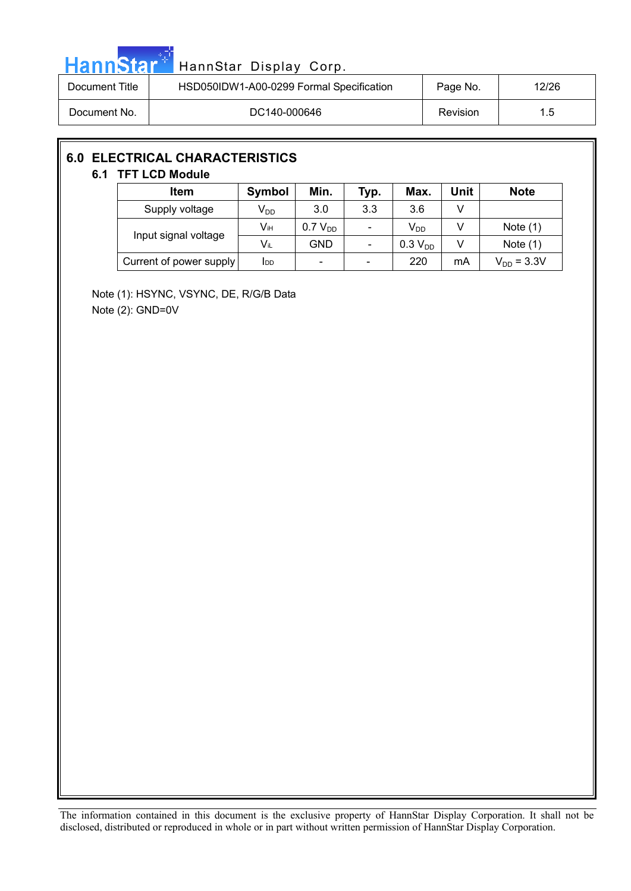|  |  | HannStar <b>*</b> |  |
|--|--|-------------------|--|
|  |  |                   |  |
|  |  |                   |  |

## HannStar Display Corp.

| Document Title | HSD050IDW1-A00-0299 Formal Specification | Page No. | 12/26 |
|----------------|------------------------------------------|----------|-------|
| Document No.   | DC140-000646                             | Revision | 1.5   |

#### **6.0 ELECTRICAL CHARACTERISTICS**

#### **6.1 TFT LCD Module**

| Item                    | <b>Symbol</b> | Min.                         | Typ. | Max.                | Unit | <b>Note</b>     |
|-------------------------|---------------|------------------------------|------|---------------------|------|-----------------|
| Supply voltage          | $V_{DD}$      | 3.0                          | 3.3  | 3.6                 |      |                 |
| Input signal voltage    | Vıн           | 0.7 V <sub>DD</sub>          |      | V <sub>DD</sub>     |      | Note $(1)$      |
|                         | $V_{iL}$      | GND                          |      | 0.3 V <sub>DD</sub> |      | Note $(1)$      |
| Current of power supply | Idd           | $\qquad \qquad \blacksquare$ |      | 220                 | mA   | $V_{DD} = 3.3V$ |

Note (1): HSYNC, VSYNC, DE, R/G/B Data Note (2): GND=0V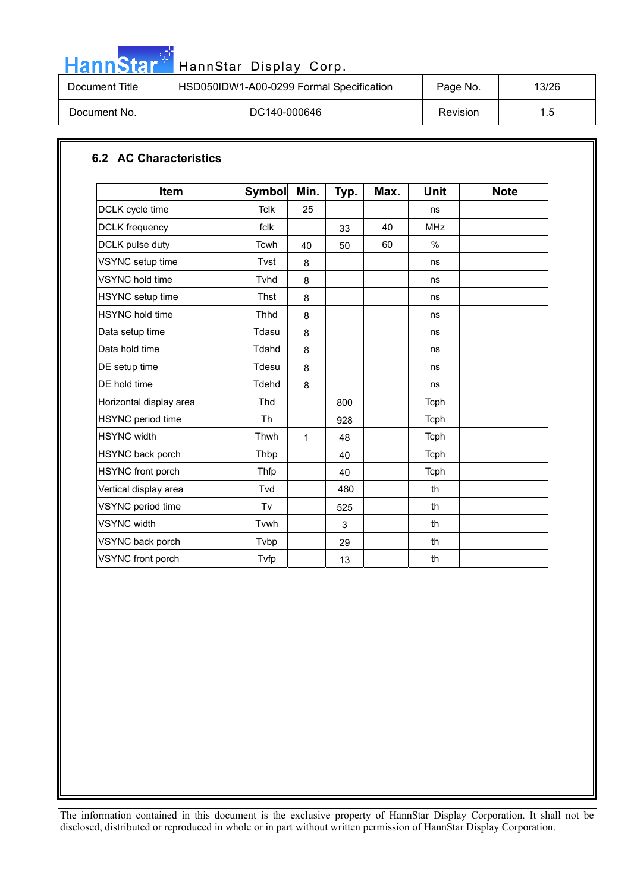|--|

# <mark>. .</mark><br><mark>HannStar Display Corp.</mark>

| Document Title | HSD050IDW1-A00-0299 Formal Specification | Page No. | 13/26 |
|----------------|------------------------------------------|----------|-------|
| Document No.   | DC140-000646                             | Revision | 1.5   |

#### **6.2 AC Characteristics**

| <b>Item</b>              | Symbol      | Min. | Typ. | Max. | <b>Unit</b>   | <b>Note</b> |
|--------------------------|-------------|------|------|------|---------------|-------------|
| DCLK cycle time          | <b>Tclk</b> | 25   |      |      | ns            |             |
| <b>DCLK</b> frequency    | fclk        |      | 33   | 40   | <b>MHz</b>    |             |
| DCLK pulse duty          | Tcwh        | 40   | 50   | 60   | $\frac{0}{0}$ |             |
| VSYNC setup time         | Tvst        | 8    |      |      | ns            |             |
| <b>VSYNC</b> hold time   | Tyhd        | 8    |      |      | ns            |             |
| HSYNC setup time         | <b>Thst</b> | 8    |      |      | ns            |             |
| <b>HSYNC</b> hold time   | <b>Thhd</b> | 8    |      |      | ns            |             |
| Data setup time          | Tdasu       | 8    |      |      | ns            |             |
| Data hold time           | Tdahd       | 8    |      |      | ns            |             |
| DE setup time            | Tdesu       | 8    |      |      | ns            |             |
| DE hold time             | Tdehd       | 8    |      |      | ns            |             |
| Horizontal display area  | Thd         |      | 800  |      | Tcph          |             |
| HSYNC period time        | <b>Th</b>   |      | 928  |      | Tcph          |             |
| <b>HSYNC</b> width       | Thwh        | 1    | 48   |      | Tcph          |             |
| HSYNC back porch         | Thbp        |      | 40   |      | Tcph          |             |
| HSYNC front porch        | Thfp        |      | 40   |      | Tcph          |             |
| Vertical display area    | Tvd         |      | 480  |      | th            |             |
| VSYNC period time        | Tv          |      | 525  |      | th            |             |
| <b>VSYNC</b> width       | Tvwh        |      | 3    |      | th            |             |
| VSYNC back porch         | Tvbp        |      | 29   |      | th            |             |
| <b>VSYNC</b> front porch | Tvfp        |      | 13   |      | th            |             |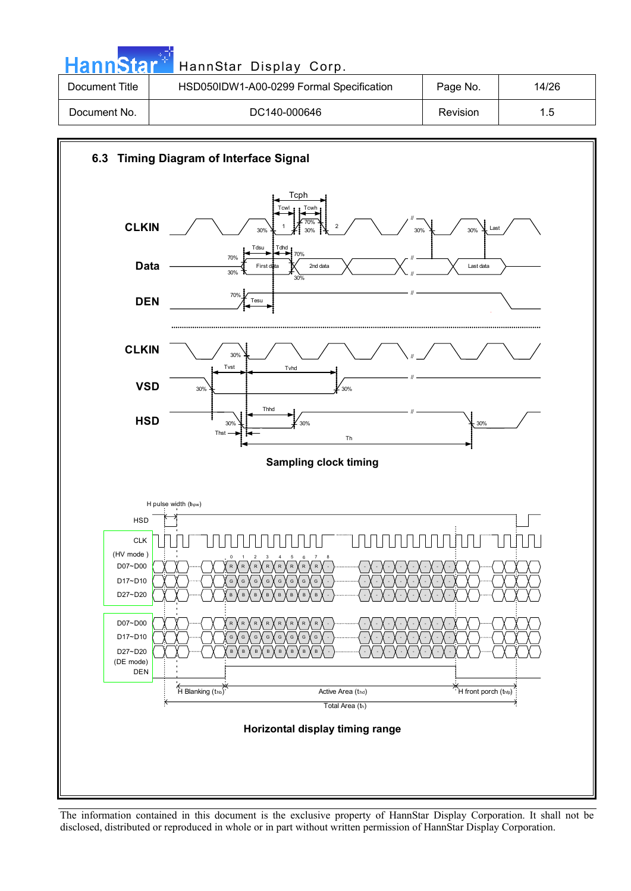| <b>HannStar</b> * | HannStar Display Corp.                   |          |       |
|-------------------|------------------------------------------|----------|-------|
| Document Title    | HSD050IDW1-A00-0299 Formal Specification | Page No. | 14/26 |
| Document No.      | DC140-000646                             | Revision | 1.5   |

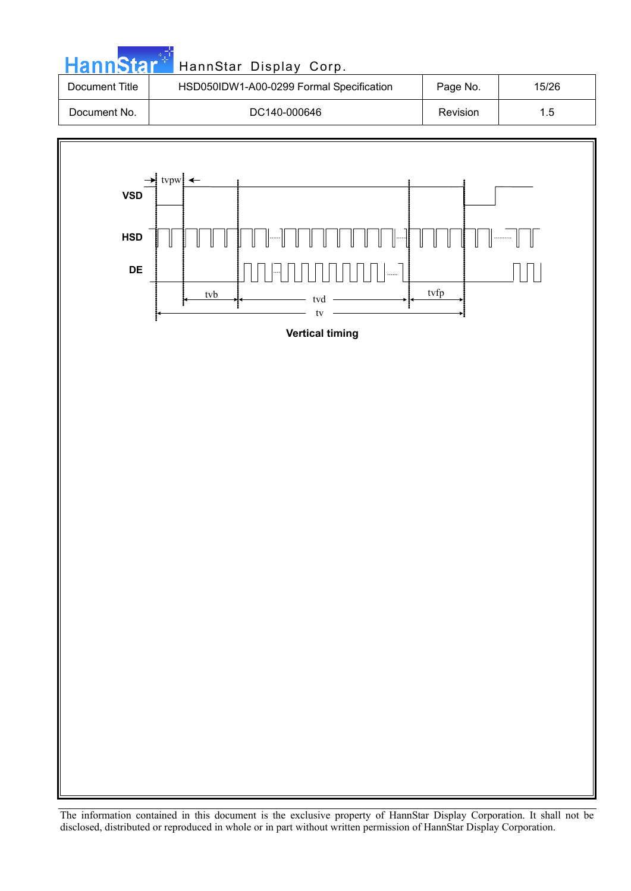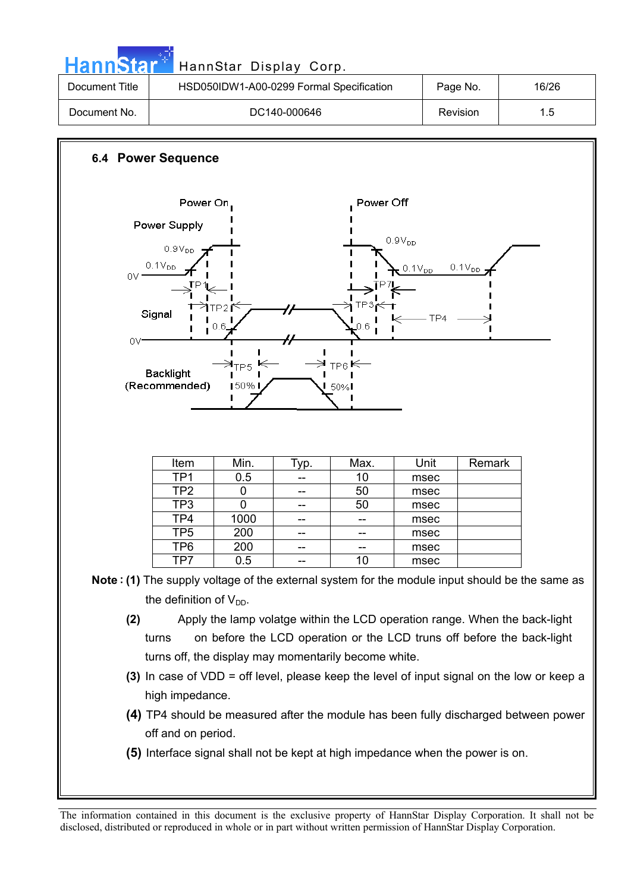| annStar               |                                                                                                                  | HannStar Display Corp.                                          |                  |                                                                                                                                                      |                                                              |             |                                                                                                                                                                                              |
|-----------------------|------------------------------------------------------------------------------------------------------------------|-----------------------------------------------------------------|------------------|------------------------------------------------------------------------------------------------------------------------------------------------------|--------------------------------------------------------------|-------------|----------------------------------------------------------------------------------------------------------------------------------------------------------------------------------------------|
| <b>Document Title</b> |                                                                                                                  |                                                                 |                  | HSD050IDW1-A00-0299 Formal Specification                                                                                                             |                                                              | Page No.    | 16/26                                                                                                                                                                                        |
| Document No.          |                                                                                                                  |                                                                 | DC140-000646     |                                                                                                                                                      |                                                              | Revision    | 1.5                                                                                                                                                                                          |
|                       | <b>6.4 Power Sequence</b><br>Power On                                                                            |                                                                 |                  | Power Off                                                                                                                                            |                                                              |             |                                                                                                                                                                                              |
| $0V =$<br>OV*         | Power Supply<br>$0.9V_{DD}$<br>$0.1V_{DD}$<br>Signal<br><b>Backlight</b><br>(Recommended)                        | TP2 f<br>0.6<br>$\rtimes_{\mathsf{TP5}}$ K<br>$150\%$ I         |                  | TP3 <sub>r</sub><br>0.6<br>$TP6 \in$<br>$\mathsf{I}$ 50% $\mathsf{I}$                                                                                | $0.9V_{DD}$<br>$0.1V_{DD}$<br>TP4                            | $0.1V_{DD}$ |                                                                                                                                                                                              |
|                       | Item<br>TP <sub>1</sub><br>TP <sub>2</sub><br>TP3<br>TP <sub>4</sub><br>TP5<br>TP <sub>6</sub><br>TP7            | Min.<br>0.5<br>0<br>$\overline{0}$<br>1000<br>200<br>200<br>0.5 | Typ.<br>--<br>-- | Max.<br>10<br>50<br>50<br>--<br>10                                                                                                                   | Unit<br>msec<br>msec<br>msec<br>msec<br>msec<br>msec<br>msec | Remark      |                                                                                                                                                                                              |
| (2)                   | the definition of $V_{DD}$ .<br>turns<br>turns off, the display may momentarily become white.<br>high impedance. |                                                                 |                  | Apply the lamp volatge within the LCD operation range. When the back-light<br>on before the LCD operation or the LCD truns off before the back-light |                                                              |             | Note: (1) The supply voltage of the external system for the module input should be the same as<br>(3) In case of VDD = off level, please keep the level of input signal on the low or keep a |
|                       | off and on period.<br>(5) Interface signal shall not be kept at high impedance when the power is on.             |                                                                 |                  |                                                                                                                                                      |                                                              |             | (4) TP4 should be measured after the module has been fully discharged between power                                                                                                          |

**Contract Contract**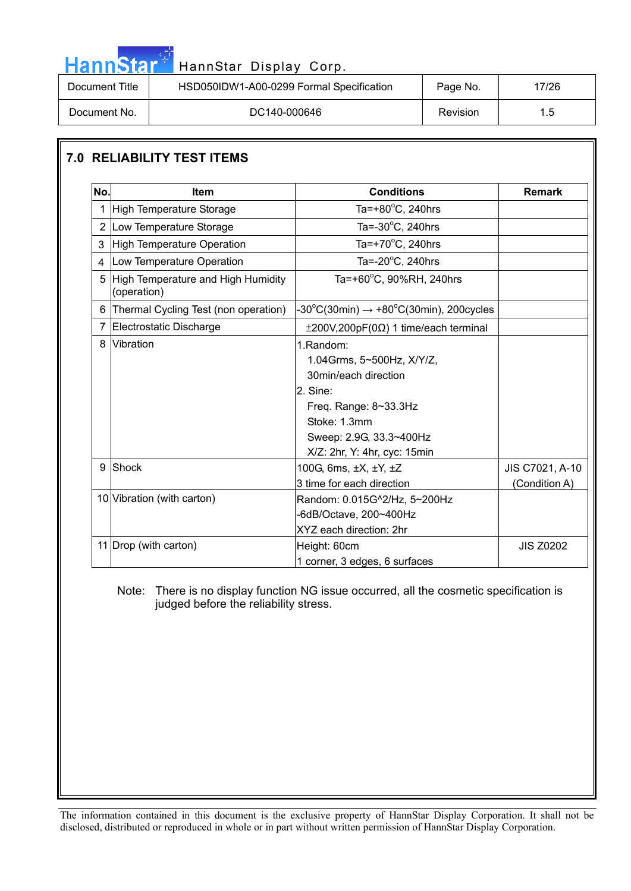| HannStar <sup>*</sup> | HannStar Display Corp.                   |          |       |
|-----------------------|------------------------------------------|----------|-------|
| Document Title        | HSD050IDW1-A00-0299 Formal Specification | Page No. | 17/26 |
| Document No.          | DC140-000646                             | Revision | 1.5   |

#### **7.0 RELIABILITY TEST ITEMS**

والمراد

| No.            | <b>Item</b>                                       | <b>Conditions</b>                                                                                                                                                              | <b>Remark</b>                    |
|----------------|---------------------------------------------------|--------------------------------------------------------------------------------------------------------------------------------------------------------------------------------|----------------------------------|
| 1              | High Temperature Storage                          | Ta=+80 $\degree$ C, 240hrs                                                                                                                                                     |                                  |
|                | 2 Low Temperature Storage                         | Ta= $-30^{\circ}$ C, 240hrs                                                                                                                                                    |                                  |
| 3              | High Temperature Operation                        | Ta=+70 $\mathrm{^{\circ}C}$ , 240hrs                                                                                                                                           |                                  |
| $\overline{4}$ | Low Temperature Operation                         | Ta= $-20^{\circ}$ C, 240hrs                                                                                                                                                    |                                  |
| 5              | High Temperature and High Humidity<br>(operation) | Ta=+60°C, 90%RH, 240hrs                                                                                                                                                        |                                  |
| 6              | Thermal Cycling Test (non operation)              | $-30^{\circ}$ C(30min) $\rightarrow +80^{\circ}$ C(30min), 200cycles                                                                                                           |                                  |
| $\overline{7}$ | Electrostatic Discharge                           | $\pm 200V, 200pF(0\Omega)$ 1 time/each terminal                                                                                                                                |                                  |
| 8              | Vibration                                         | 1.Random:<br>1.04Grms, 5~500Hz, X/Y/Z,<br>30min/each direction<br>2. Sine:<br>Freq. Range: 8~33.3Hz<br>Stoke: 1.3mm<br>Sweep: 2.9G, 33.3~400Hz<br>X/Z: 2hr, Y: 4hr, cyc: 15min |                                  |
| 9              | Shock                                             | 100G, 6ms, ±X, ±Y, ±Z<br>3 time for each direction                                                                                                                             | JIS C7021, A-10<br>(Condition A) |
|                | 10 Vibration (with carton)                        | Random: 0.015G^2/Hz, 5~200Hz<br>-6dB/Octave, 200~400Hz<br>XYZ each direction: 2hr                                                                                              |                                  |
|                | 11 Drop (with carton)                             | Height: 60cm<br>1 corner, 3 edges, 6 surfaces                                                                                                                                  | <b>JIS Z0202</b>                 |

 Note: There is no display function NG issue occurred, all the cosmetic specification is judged before the reliability stress.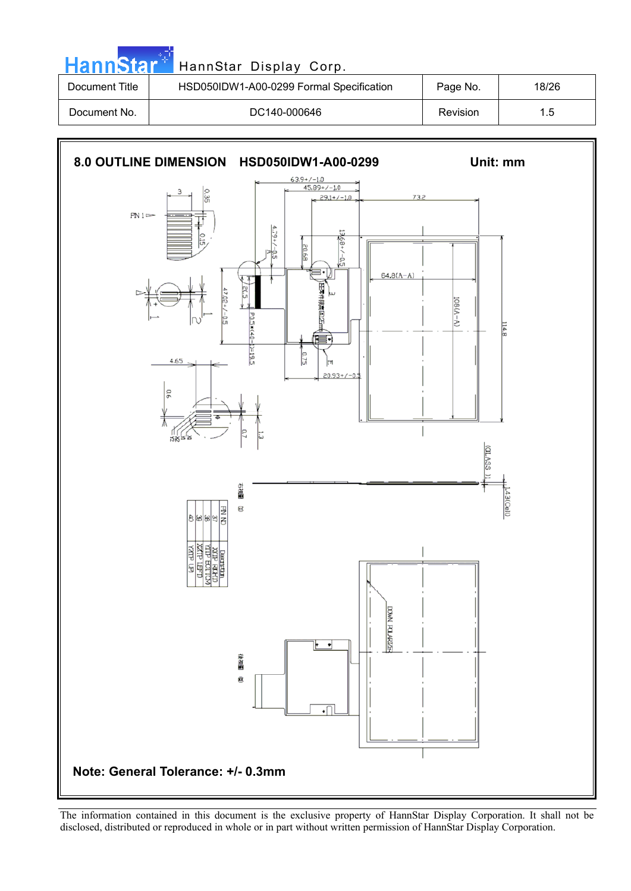| HannStar <sup>*</sup> | HannStar Display Corp.                   |          |       |
|-----------------------|------------------------------------------|----------|-------|
| Document Title        | HSD050IDW1-A00-0299 Formal Specification | Page No. | 18/26 |
| Document No.          | DC140-000646                             | Revision | 1.5   |

an an Dù

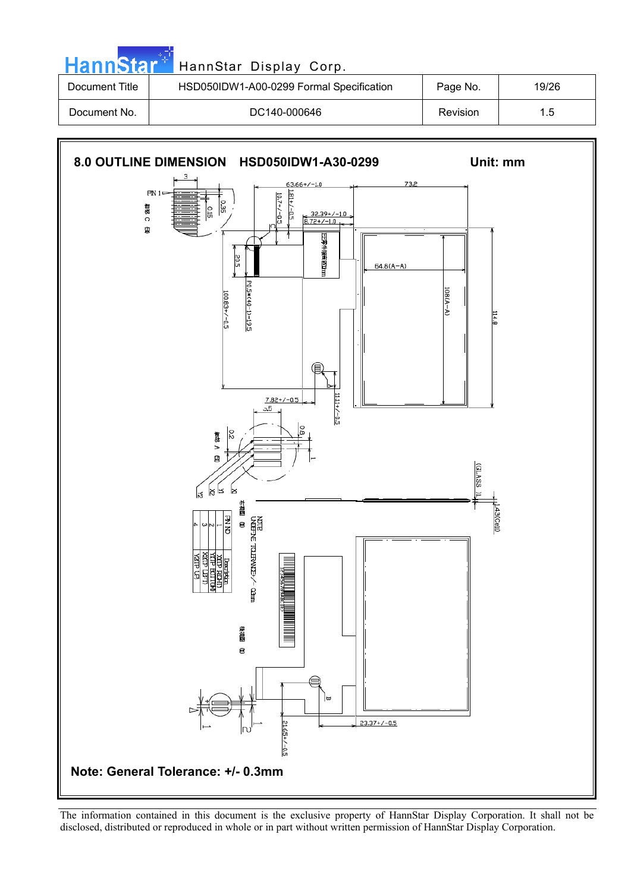| <b>HannStar</b> * | HannStar Display Corp.                   |          |       |
|-------------------|------------------------------------------|----------|-------|
| Document Title    | HSD050IDW1-A00-0299 Formal Specification | Page No. | 19/26 |
| Document No.      | DC140-000646                             | Revision | 1.5   |

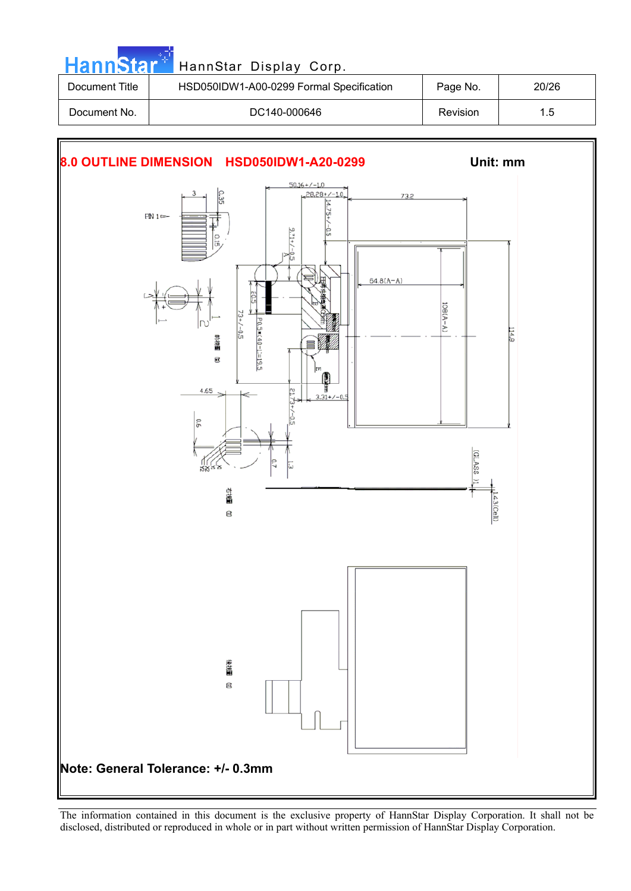| <b>HannStart</b> | HannStar Display Corp.                   |                 |       |
|------------------|------------------------------------------|-----------------|-------|
| Document Title   | HSD050IDW1-A00-0299 Formal Specification | Page No.        | 20/26 |
| Document No.     | DC140-000646                             | <b>Revision</b> | 1.5   |

**COL** 

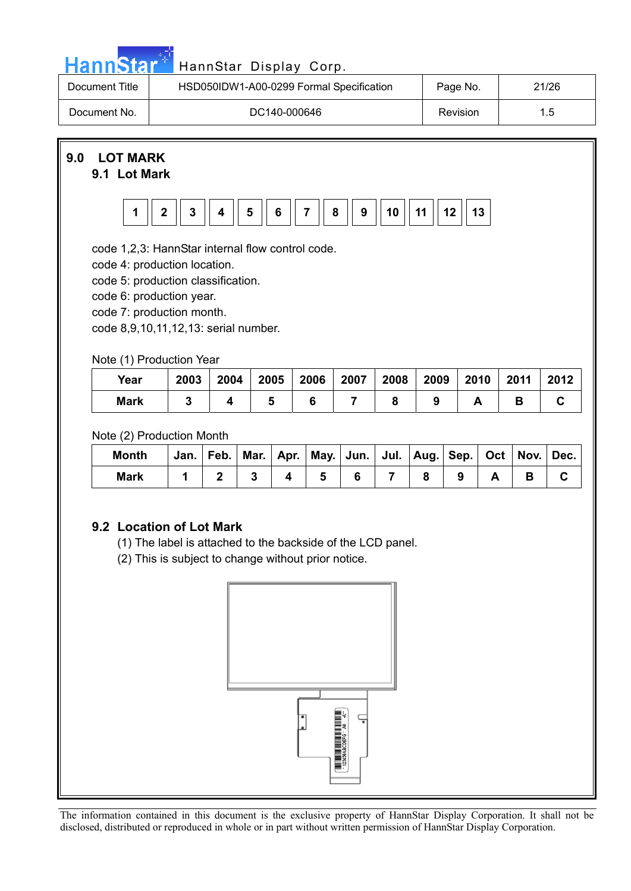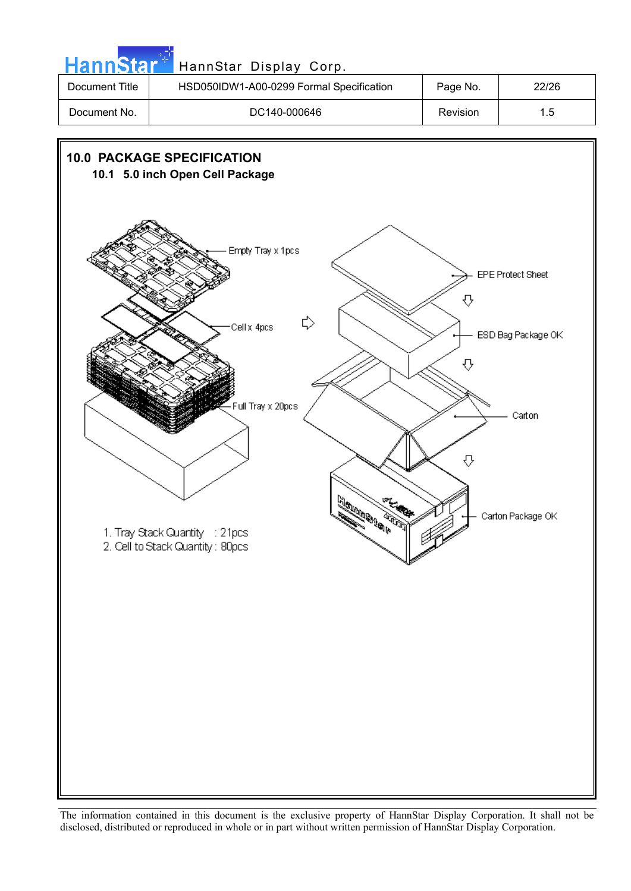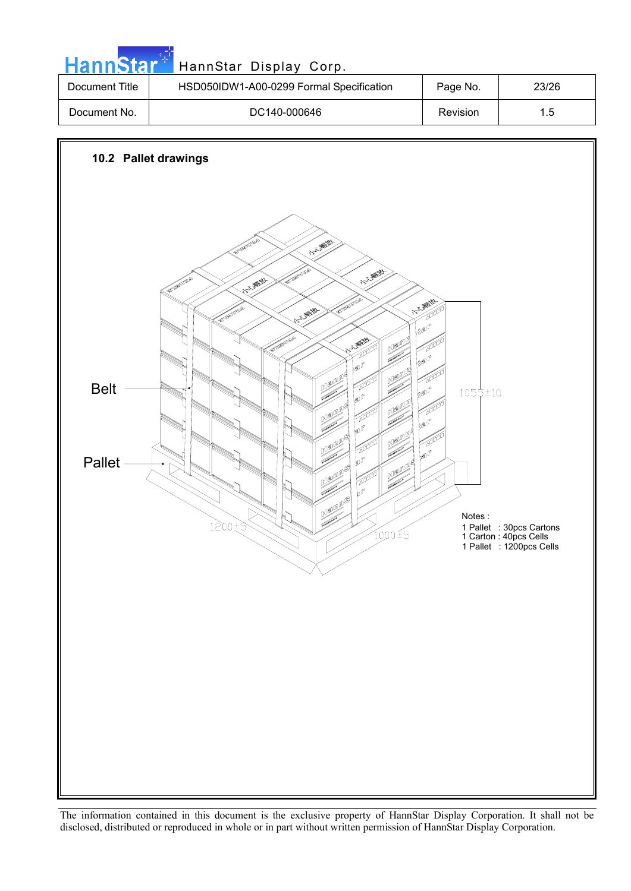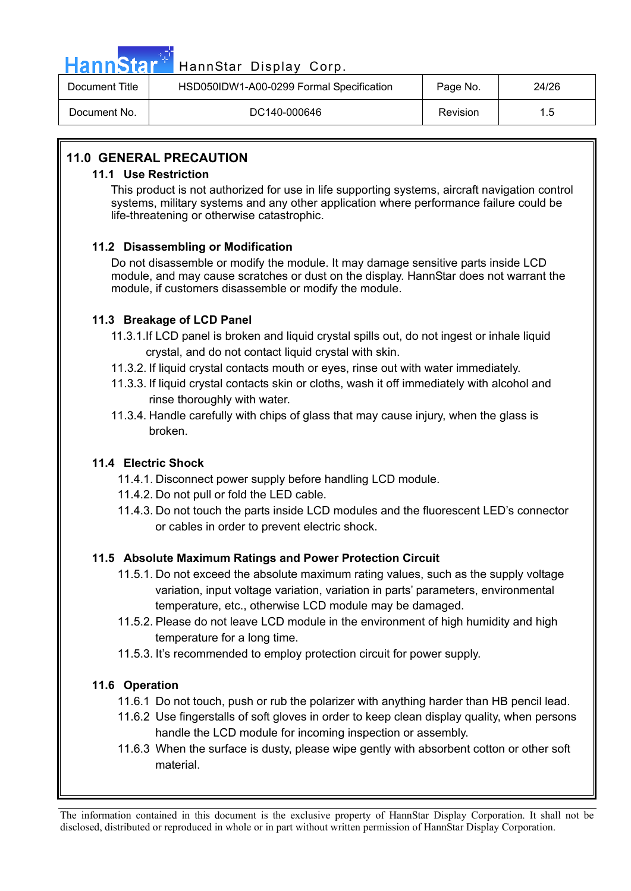

## Hann Star<sup>47</sup> HannStar Display Corp.

| Document Title | HSD050IDW1-A00-0299 Formal Specification | Page No. | 24/26 |
|----------------|------------------------------------------|----------|-------|
| Document No.   | DC140-000646                             | Revision | 1.5   |

#### **11.0 GENERAL PRECAUTION**

#### **11.1 Use Restriction**

This product is not authorized for use in life supporting systems, aircraft navigation control systems, military systems and any other application where performance failure could be life-threatening or otherwise catastrophic.

#### **11.2 Disassembling or Modification**

Do not disassemble or modify the module. It may damage sensitive parts inside LCD module, and may cause scratches or dust on the display. HannStar does not warrant the module, if customers disassemble or modify the module.

#### **11.3 Breakage of LCD Panel**

- 11.3.1.If LCD panel is broken and liquid crystal spills out, do not ingest or inhale liquid crystal, and do not contact liquid crystal with skin.
- 11.3.2. If liquid crystal contacts mouth or eyes, rinse out with water immediately.
- 11.3.3. If liquid crystal contacts skin or cloths, wash it off immediately with alcohol and rinse thoroughly with water.
- 11.3.4. Handle carefully with chips of glass that may cause injury, when the glass is broken.

#### **11.4 Electric Shock**

- 11.4.1. Disconnect power supply before handling LCD module.
- 11.4.2. Do not pull or fold the LED cable.
- 11.4.3. Do not touch the parts inside LCD modules and the fluorescent LED's connector or cables in order to prevent electric shock.

#### **11.5 Absolute Maximum Ratings and Power Protection Circuit**

- 11.5.1. Do not exceed the absolute maximum rating values, such as the supply voltage variation, input voltage variation, variation in parts' parameters, environmental temperature, etc., otherwise LCD module may be damaged.
- 11.5.2. Please do not leave LCD module in the environment of high humidity and high temperature for a long time.
- 11.5.3. It's recommended to employ protection circuit for power supply.

#### **11.6 Operation**

- 11.6.1 Do not touch, push or rub the polarizer with anything harder than HB pencil lead.
- 11.6.2 Use fingerstalls of soft gloves in order to keep clean display quality, when persons handle the LCD module for incoming inspection or assembly.
- 11.6.3 When the surface is dusty, please wipe gently with absorbent cotton or other soft material.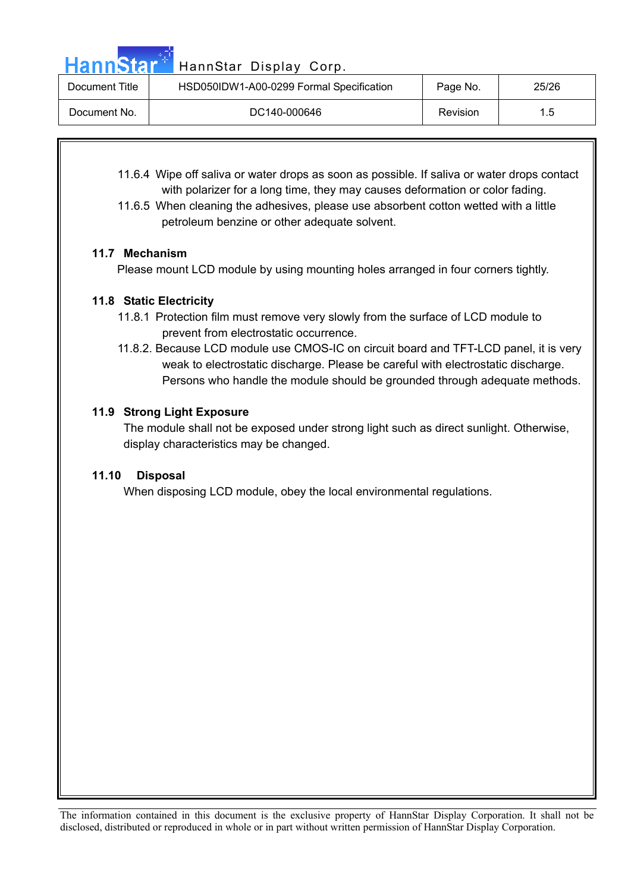Hann Star<sup>4</sup> HannStar Display Corp.

| Document Title | HSD050IDW1-A00-0299 Formal Specification | Page No. | 25/26 |
|----------------|------------------------------------------|----------|-------|
| Document No.   | DC140-000646                             | Revision | 1.5   |

- 11.6.4 Wipe off saliva or water drops as soon as possible. If saliva or water drops contact with polarizer for a long time, they may causes deformation or color fading.
- 11.6.5 When cleaning the adhesives, please use absorbent cotton wetted with a little petroleum benzine or other adequate solvent.

#### **11.7 Mechanism**

Please mount LCD module by using mounting holes arranged in four corners tightly.

#### **11.8 Static Electricity**

- 11.8.1 Protection film must remove very slowly from the surface of LCD module to prevent from electrostatic occurrence.
- 11.8.2. Because LCD module use CMOS-IC on circuit board and TFT-LCD panel, it is very weak to electrostatic discharge. Please be careful with electrostatic discharge. Persons who handle the module should be grounded through adequate methods.

#### **11.9 Strong Light Exposure**

The module shall not be exposed under strong light such as direct sunlight. Otherwise, display characteristics may be changed.

#### **11.10 Disposal**

When disposing LCD module, obey the local environmental regulations.